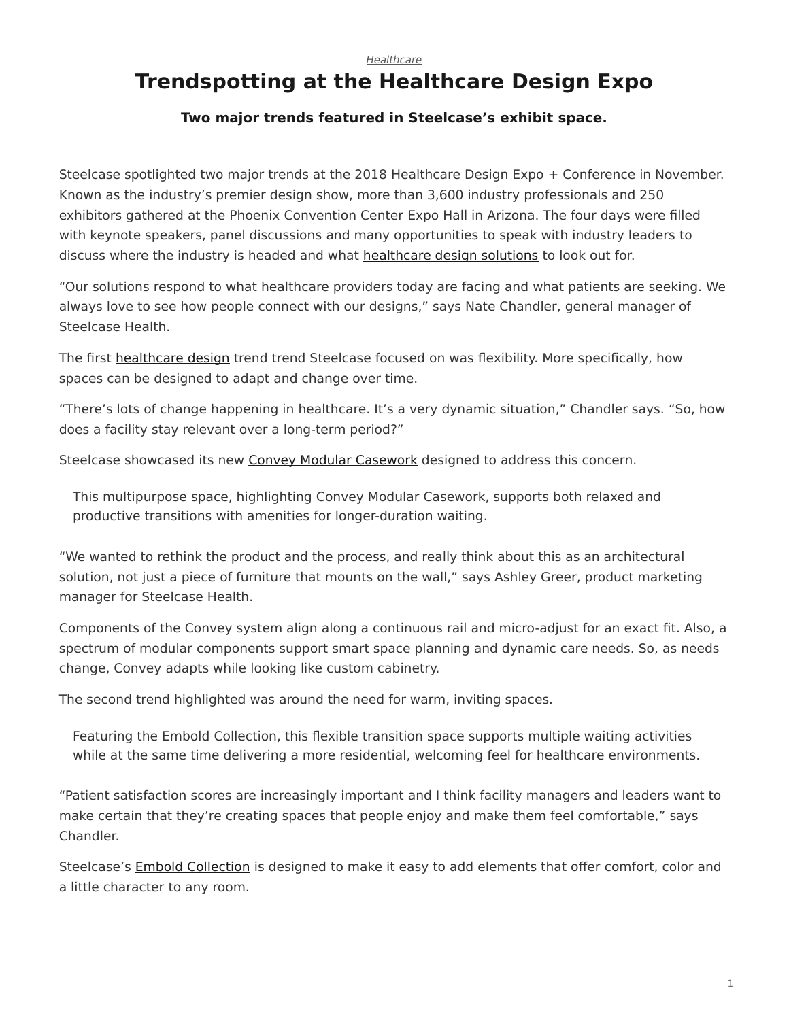## *[Healthcare](https://www.steelcase.com/research/topics/healthcare/)*

## <span id="page-0-0"></span>**Trendspotting at the Healthcare Design Expo**

## **Two major trends featured in Steelcase's exhibit space.**

Steelcase spotlighted two major trends at the 2018 Healthcare Design Expo + Conference in November. Known as the industry's premier design show, more than 3,600 industry professionals and 250 exhibitors gathered at the Phoenix Convention Center Expo Hall in Arizona. The four days were filled with keynote speakers, panel discussions and many opportunities to speak with industry leaders to discuss where the industry is headed and what [healthcare design solutions](https://www.steelcase.com/discover/information/health/#health-products) to look out for.

"Our solutions respond to what healthcare providers today are facing and what patients are seeking. We always love to see how people connect with our designs," says Nate Chandler, general manager of Steelcase Health.

The first [healthcare design](https://www.steelcase.com/research/articles/predictions-for-healthcare-design-needs-in-the-next-5-years/) trend trend Steelcase focused on was flexibility. More specifically, how spaces can be designed to adapt and change over time.

"There's lots of change happening in healthcare. It's a very dynamic situation," Chandler says. "So, how does a facility stay relevant over a long-term period?"

Steelcase showcased its new [Convey Modular Casework](https://www.steelcase.com/products/bookcases-cabinets/convey/) designed to address this concern.

This multipurpose space, highlighting Convey Modular Casework, supports both relaxed and productive transitions with amenities for longer-duration waiting.

"We wanted to rethink the product and the process, and really think about this as an architectural solution, not just a piece of furniture that mounts on the wall," says Ashley Greer, product marketing manager for Steelcase Health.

Components of the Convey system align along a continuous rail and micro-adjust for an exact fit. Also, a spectrum of modular components support smart space planning and dynamic care needs. So, as needs change, Convey adapts while looking like custom cabinetry.

The second trend highlighted was around the need for warm, inviting spaces.

Featuring the Embold Collection, this flexible transition space supports multiple waiting activities while at the same time delivering a more residential, welcoming feel for healthcare environments.

"Patient satisfaction scores are increasingly important and I think facility managers and leaders want to make certain that they're creating spaces that people enjoy and make them feel comfortable," says Chandler.

Steelcase's [Embold Collection](https://www.steelcase.com/products/guest-chairs-stools/embold-collection/) is designed to make it easy to add elements that offer comfort, color and a little character to any room.